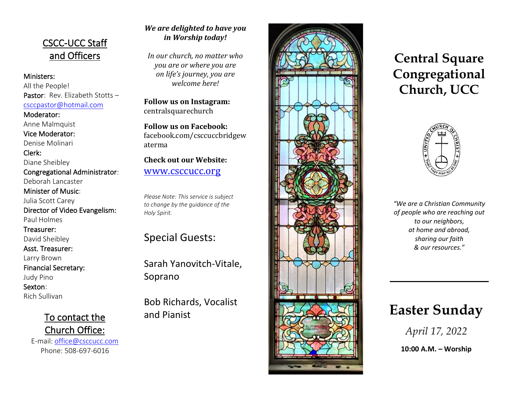## CSCC -UCC Staff and Officers

Ministers: All the People! Pastor: Rev. Elizabeth Stotts[csccpastor@hotmail.com](about:blank)

Moderator:

Anne Malmquist Vice Moderator:

Denise Molinari

Clerk: Diane Sheibley Congregational Administrator: Deborah Lancaster Minister of Music: Julia Scott Carey

Director of Video Evangelism: Paul Holmes

Treasurer:

David Sheibley

Asst. Treasurer:

Larry Brown

Financial Secretary:

Judy Pino

Sexton:

Rich Sullivan

To contact the Church Office:

E-mail: [office@csccucc.com](about:blank) Phone: 508 -697 -6016

### *We are delighted to have you in Worship today!*

*In our church, no matter who you are or where you are on life's journey, you are welcome here!*

**Follow us on Instagram:**  centralsquarechurch

**Follow us on Facebook:** facebook.com/csccuccbridgew aterma

**Check out our Website:** [www.csccucc.org](about:blank)

*Please Note: This service is subject to change by the guidance of the Holy Spirit.*

Special Guests:

Sarah Yanovitch -Vitale, Soprano

Bob Richards, Vocalist and Pianist



## **Central Square Congregational Church, UCC**



*"We are a Christian Community of people who are reaching out to our neighbors, at home and abroad, sharing our faith & our resources."*

# **Easter Sunday**

*April 17, 2022*

**10:00 A . M . – Worship**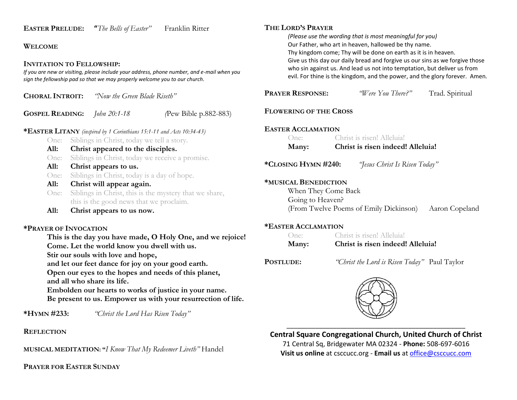| <b>EASTER PRELUDE:</b>                                               |                                            | <b>"</b> The Bells of Easter"                                              | Franklin Ritter                                                                            | THE LORD'S PRAYER<br>(Please use the w    |
|----------------------------------------------------------------------|--------------------------------------------|----------------------------------------------------------------------------|--------------------------------------------------------------------------------------------|-------------------------------------------|
| <b>WELCOME</b>                                                       | Our Father, who                            |                                                                            |                                                                                            |                                           |
| <b>INVITATION TO FELLOWSHIP:</b>                                     |                                            |                                                                            |                                                                                            | Thy kingdom com<br>Give us this day o     |
|                                                                      |                                            | sign the fellowship pad so that we may properly welcome you to our church. | If you are new or visiting, please include your address, phone number, and e-mail when you | who sin against u<br>evil. For thine is t |
| <b>CHORAL INTROIT:</b>                                               |                                            | "Now the Green Blade Riseth"                                               |                                                                                            | <b>PRAYER RESPONSE:</b>                   |
| <b>GOSPEL READING:</b>                                               |                                            | John 20:1-18                                                               | (Pew Bible p.882-883)                                                                      | <b>FLOWERING OF THE</b>                   |
| *EASTER LITANY (inspired by 1 Corinthians 15:1-11 and Acts 10:34-43) |                                            |                                                                            |                                                                                            | <b>EASTER ACCLAMATIC</b>                  |
| One:                                                                 | Siblings in Christ, today we tell a story. |                                                                            |                                                                                            | One:                                      |
| All:                                                                 | Christ appeared to the disciples.          |                                                                            |                                                                                            | Many:                                     |
| One:                                                                 |                                            |                                                                            | Siblings in Christ, today we receive a promise.                                            |                                           |
| All:                                                                 |                                            | Christ appears to us.                                                      | *CLOSING HYMN #24                                                                          |                                           |
| One:                                                                 |                                            | Siblings in Christ, today is a day of hope.                                |                                                                                            |                                           |
| All:                                                                 |                                            | Christ will appear again.                                                  | *MUSICAL BENEDICT                                                                          |                                           |
| One:                                                                 |                                            |                                                                            | Siblings in Christ, this is the mystery that we share,                                     | When They Co                              |
|                                                                      |                                            | this is the good news that we proclaim.                                    |                                                                                            | Going to Heav                             |
| All:                                                                 |                                            | Christ appears to us now.                                                  |                                                                                            | (From Twelve                              |
| <b>*PRAYER OF INVOCATION</b>                                         |                                            |                                                                            |                                                                                            | *EASTER ACCLAMATI                         |
| This is the day you have made, O Holy One, and we rejoice!           |                                            |                                                                            |                                                                                            | One:                                      |
| Come. Let the world know you dwell with us.                          |                                            |                                                                            |                                                                                            | Many:                                     |
|                                                                      |                                            | Stir our souls with love and hope,                                         |                                                                                            |                                           |

*(Please use the wording that is most meaningful for you)* art in heaven, hallowed be thy name. ne; Thy will be done on earth as it is in heaven. ur daily bread and forgive us our sins as we forgive those is. And lead us not into temptation, but deliver us from he kingdom, and the power, and the glory forever. Amen.

| <b>PRAYER RESPONSE:</b>       | "Were You There?" Trad. Spiritual                     |  |  |  |
|-------------------------------|-------------------------------------------------------|--|--|--|
| <b>FLOWERING OF THE CROSS</b> |                                                       |  |  |  |
| <b>EASTER ACCLAMATION</b>     |                                                       |  |  |  |
|                               | One: Christ is risen! Alleluia!                       |  |  |  |
| Many:                         | Christ is risen indeed! Alleluia!                     |  |  |  |
| *Closing Hymn #240:           | "Jesus Christ Is Risen Today"                         |  |  |  |
| *MUSICAL BENEDICTION          |                                                       |  |  |  |
| When They Come Back           |                                                       |  |  |  |
| Going to Heaven?              |                                                       |  |  |  |
|                               | (From Twelve Poems of Emily Dickinson) Aaron Copeland |  |  |  |
| <b>*EASTER ACCLAMATION</b>    |                                                       |  |  |  |
|                               | One: Christ is risen! Alleluia!                       |  |  |  |
| Many:                         | Christ is risen indeed! Alleluia!                     |  |  |  |

**POSTLUDE:** *"Christ the Lord is Risen Today"* Paul Taylor



**Central Square Congregational Church, United Church of Christ**

71 Central Sq, Bridgewater MA 02324 - **Phone:** 508-697-6016 **Visit us online** at csccucc.org - **Email us** a[t office@csccucc.com](about:blank)

#### **REFLECTION**

**MUSICAL MEDITATION: "***I Know That My Redeemer Liveth"* Handel

**\*HYMN #233:** *"Christ the Lord Has Risen Today"*

**and let our feet dance for joy on your good earth. Open our eyes to the hopes and needs of this planet,**

**Embolden our hearts to works of justice in your name. Be present to us. Empower us with your resurrection of life.**

**PRAYER FOR EASTER SUNDAY**

**and all who share its life.**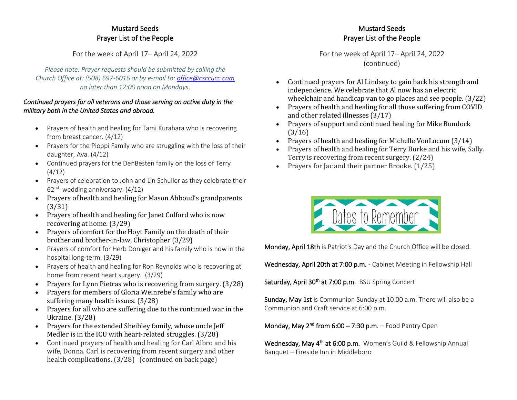#### Mustard Seeds Prayer List of the People

For the week of April 17– April 24, 2022

*Please note: Prayer requests should be submitted by calling the Church Office at: (508) 697-6016 or by e-mail to: [office@csccucc.com](mailto:office@csccucc.com) no later than 12:00 noon on Mondays.*

#### *Continued prayers for all veterans and those serving on active duty in the military both in the United States and abroad.*

- Prayers of health and healing for Tami Kurahara who is recovering from breast cancer. (4/12)
- Prayers for the Pioppi Family who are struggling with the loss of their daughter, Ava. (4/12)
- Continued prayers for the DenBesten family on the loss of Terry (4/12)
- Prayers of celebration to John and Lin Schuller as they celebrate their 62<sup>nd</sup> wedding anniversary. (4/12)
- Prayers of health and healing for Mason Abboud's grandparents (3/31)
- Prayers of health and healing for Janet Colford who is now recovering at home. (3/29)
- Prayers of comfort for the Hoyt Family on the death of their brother and brother-in-law, Christopher (3/29)
- Prayers of comfort for Herb Doniger and his family who is now in the hospital long-term. (3/29)
- Prayers of health and healing for Ron Reynolds who is recovering at home from recent heart surgery. (3/29)
- Prayers for Lynn Pietras who is recovering from surgery. (3/28)
- Prayers for members of Gloria Weinrebe's family who are suffering many health issues. (3/28)
- Prayers for all who are suffering due to the continued war in the Ukraine. (3/28)
- Prayers for the extended Sheibley family, whose uncle Jeff Medler is in the ICU with heart-related struggles. (3/28)
- Continued prayers of health and healing for Carl Albro and his wife, Donna. Carl is recovering from recent surgery and other health complications. (3/28) (continued on back page)

#### Mustard Seeds Prayer List of the People

For the week of April 17– April 24, 2022 (continued)

- Continued prayers for Al Lindsey to gain back his strength and independence. We celebrate that Al now has an electric wheelchair and handicap van to go places and see people. (3/22)
- Prayers of health and healing for all those suffering from COVID and other related illnesses (3/17)
- Prayers of support and continued healing for Mike Bundock (3/16)
- Prayers of health and healing for Michelle VonLocum (3/14)
- Prayers of health and healing for Terry Burke and his wife, Sally. Terry is recovering from recent surgery. (2/24)
- Prayers for Jac and their partner Brooke. (1/25)



Monday, April 18th is Patriot's Day and the Church Office will be closed.

Wednesday, April 20th at 7:00 p.m. - Cabinet Meeting in Fellowship Hall

Saturday, April 30<sup>th</sup> at 7:00 p.m. BSU Spring Concert

Sunday, May 1st is Communion Sunday at 10:00 a.m. There will also be a Communion and Craft service at 6:00 p.m.

Monday, May 2<sup>nd</sup> from 6:00 – 7:30 p.m. – Food Pantry Open

Wednesday, May 4<sup>th</sup> at 6:00 p.m. Women's Guild & Fellowship Annual Banquet – Fireside Inn in Middleboro